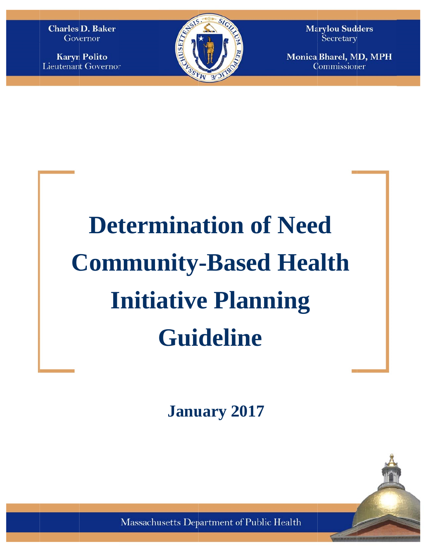**Charles D. Baker** Governor

**Karyn Polito Lieutenant Governor** 



**Marylou Sudders** Secretary

**Monica Bharel, MD, MPH** Commissioner

# **Community-Based Health Determination of Need Initiative Planning** Guideline

**Janu uary 2 2017** 

Massachusetts Department of Public Health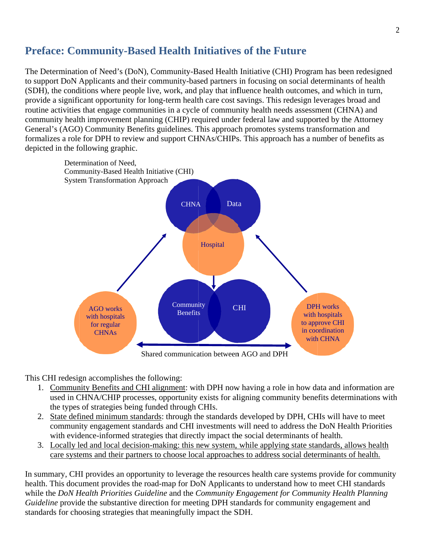# **Preface: Community-Based Health Initiatives of the Future**

The Determination of Need's (DoN), Community-Based Health Initiative (CHI) Program has been redesigned to support DoN Applicants and their community-based partners in focusing on social determinants of health (SDH), the conditions where people live, work, and play that influence health outcomes, and which in turn, provide a significant opportunity for long-term health care cost savings. This redesign leverages broad and routine activities that engage communities in a cycle of community health needs assessment (CHNA) and community health improvement planning (CHIP) required under federal law and supported by the Attorney General's (AGO) Community Benefits guidelines. This approach promotes systems transformation and formalizes a role for DPH to review and support CHNAs/CHIPs. This approach has a number of benefits as depicted in the following graphic.



This CHI redesign accomplishes the following:

- 1. Community Benefits and CHI alignment: with DPH now having a role in how data and information are used in CHNA/CHIP processes, opportunity exists for aligning community benefits determinations with the types of strategies being funded through CHIs.
- 2. State defined minimum standards: through the standards developed by DPH, CHIs will have to meet community engagement standards and CHI investments will need to address the DoN Health Priorities with evidence-informed strategies that directly impact the social determinants of health.
- 3. Locally led and local decision-making: this new system, while applying state standards, allows health care systems and their partners to choose local approaches to address social determinants of health.

In summary, CHI provides an opportunity to leverage the resources health care systems provide for community health. This document provides the road-map for DoN Applicants to understand how to meet CHI standards while the *DoN Health Priorities Guideline* and the *Community Engagement for Community Health Planning* Guideline provide the substantive direction for meeting DPH standards for community engagement and standards for choosing strategies that meaningfully impact the SDH.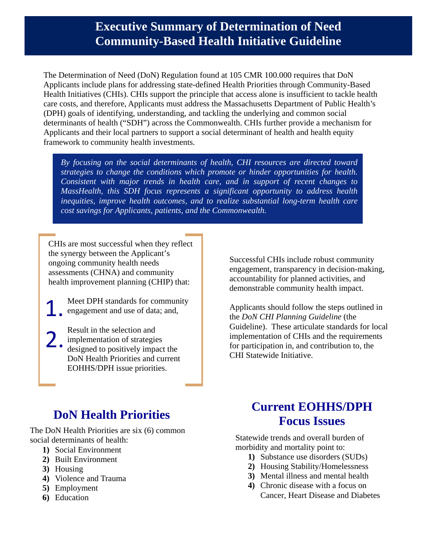# **Executive Summary of Determination of Need Community-Based Health Initiative Guideline**

The Determination of Need (DoN) Regulation found at 105 CMR 100.000 requires that DoN Applicants include plans for addressing state-defined Health Priorities through Community-Based Health Initiatives (CHIs). CHIs support the principle that access alone is insufficient to tackle health care costs, and therefore, Applicants must address the Massachusetts Department of Public Health's (DPH) goals of identifying, understanding, and tackling the underlying and common social determinants of health ("SDH") across the Commonwealth. CHIs further provide a mechanism for Applicants and their local partners to support a social determinant of health and health equity framework to community health investments.

*By focusing on the social determinants of health, CHI resources are directed toward strategies to change the conditions which promote or hinder opportunities for health. Consistent with major trends in health care, and in support of recent changes to MassHealth, this SDH focus represents a significant opportunity to address health inequities, improve health outcomes, and to realize substantial long-term health care cost savings for Applicants, patients, and the Commonwealth.*

CHIs are most successful when they reflect the synergy between the Applicant's ongoing community health needs assessments (CHNA) and community health improvement planning (CHIP) that:

Meet DPH standards for community engagement and use of data; and, 1.

Result in the selection and implementation of strategies designed to positively impact the DoN Health Priorities and current EOHHS/DPH issue priorities. 2.

Successful CHIs include robust community engagement, transparency in decision-making, accountability for planned activities, and demonstrable community health impact.

Applicants should follow the steps outlined in the *DoN CHI Planning Guideline* (the Guideline). These articulate standards for local implementation of CHIs and the requirements for participation in, and contribution to, the CHI Statewide Initiative.

# **DoN Health Priorities**

The DoN Health Priorities are six (6) common social determinants of health:

- **1)** Social Environment
- **2)** Built Environment
- **3)** Housing
- **4)** Violence and Trauma
- **5)** Employment
- **6)** Education

# **Current EOHHS/DPH Focus Issues**

 $\mathcal{V}$  is the Education Education  $\mathcal{V}$ Statewide trends and overall burden of morbidity and mortality point to:

- **1)** Substance use disorders (SUDs)
- **2)** Housing Stability/Homelessness
- 2) Housing Stability/Homelessness<br>**3**) Mental illness and mental health
- Cancer, Heart Disease and Diabetes **4)** Chronic disease with a focus on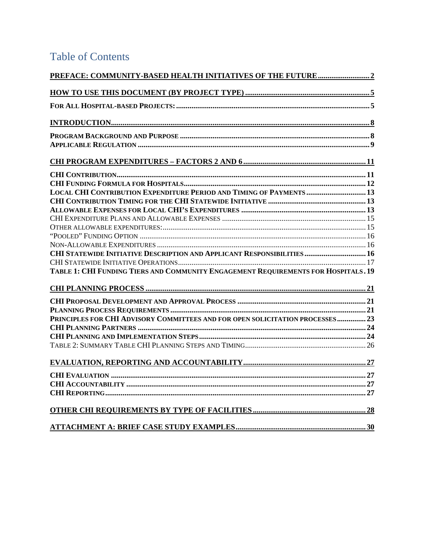# **Table of Contents**

| PREFACE: COMMUNITY-BASED HEALTH INITIATIVES OF THE FUTURE2                         |  |
|------------------------------------------------------------------------------------|--|
|                                                                                    |  |
|                                                                                    |  |
|                                                                                    |  |
|                                                                                    |  |
|                                                                                    |  |
|                                                                                    |  |
|                                                                                    |  |
|                                                                                    |  |
| LOCAL CHI CONTRIBUTION EXPENDITURE PERIOD AND TIMING OF PAYMENTS  13               |  |
|                                                                                    |  |
|                                                                                    |  |
|                                                                                    |  |
|                                                                                    |  |
|                                                                                    |  |
|                                                                                    |  |
| CHI STATEWIDE INITIATIVE DESCRIPTION AND APPLICANT RESPONSIBILITIES  16            |  |
|                                                                                    |  |
| TABLE 1: CHI FUNDING TIERS AND COMMUNITY ENGAGEMENT REQUIREMENTS FOR HOSPITALS. 19 |  |
|                                                                                    |  |
|                                                                                    |  |
|                                                                                    |  |
| PRINCIPLES FOR CHI ADVISORY COMMITTEES AND FOR OPEN SOLICITATION PROCESSES23       |  |
|                                                                                    |  |
|                                                                                    |  |
|                                                                                    |  |
|                                                                                    |  |
|                                                                                    |  |
|                                                                                    |  |
|                                                                                    |  |
|                                                                                    |  |
|                                                                                    |  |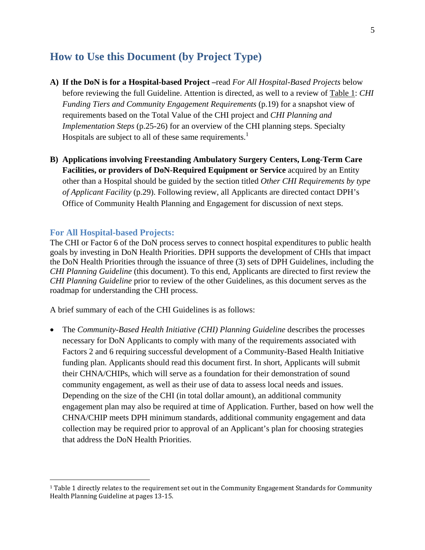# **How to Use this Document (by Project Type)**

- **A) If the DoN is for a Hospital-based Project –**read *For All Hospital-Based Projects* below before reviewing the full Guideline. Attention is directed, as well to a review of Table 1: *CHI Funding Tiers and Community Engagement Requirements* (p.19) for a snapshot view of requirements based on the Total Value of the CHI project and *CHI Planning and Implementation Steps* (p.25-26) for an overview of the CHI planning steps. Specialty Hospitals are subject to all of these same requirements.<sup>1</sup>
- **B) Applications involving Freestanding Ambulatory Surgery Centers, Long-Term Care Facilities, or providers of DoN-Required Equipment or Service** acquired by an Entity other than a Hospital should be guided by the section titled *Other CHI Requirements by type of Applicant Facility* (p.29). Following review, all Applicants are directed contact DPH's Office of Community Health Planning and Engagement for discussion of next steps.

#### **For All Hospital-based Projects:**

 $\overline{a}$ 

The CHI or Factor 6 of the DoN process serves to connect hospital expenditures to public health goals by investing in DoN Health Priorities. DPH supports the development of CHIs that impact the DoN Health Priorities through the issuance of three (3) sets of DPH Guidelines, including the *CHI Planning Guideline* (this document). To this end, Applicants are directed to first review the *CHI Planning Guideline* prior to review of the other Guidelines, as this document serves as the roadmap for understanding the CHI process.

A brief summary of each of the CHI Guidelines is as follows:

• The *Community-Based Health Initiative (CHI) Planning Guideline* describes the processes necessary for DoN Applicants to comply with many of the requirements associated with Factors 2 and 6 requiring successful development of a Community-Based Health Initiative funding plan. Applicants should read this document first. In short, Applicants will submit their CHNA/CHIPs, which will serve as a foundation for their demonstration of sound community engagement, as well as their use of data to assess local needs and issues. Depending on the size of the CHI (in total dollar amount), an additional community engagement plan may also be required at time of Application. Further, based on how well the CHNA/CHIP meets DPH minimum standards, additional community engagement and data collection may be required prior to approval of an Applicant's plan for choosing strategies that address the DoN Health Priorities.

<sup>1</sup> Table 1 directly relates to the requirement set out in the Community Engagement Standards for Community Health Planning Guideline at pages 13-15.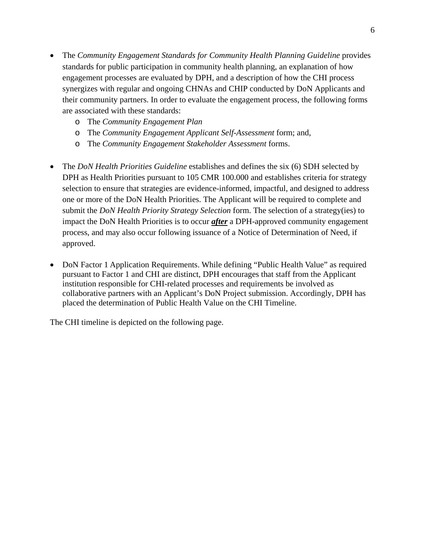- The *Community Engagement Standards for Community Health Planning Guideline* provides standards for public participation in community health planning, an explanation of how engagement processes are evaluated by DPH, and a description of how the CHI process synergizes with regular and ongoing CHNAs and CHIP conducted by DoN Applicants and their community partners. In order to evaluate the engagement process, the following forms are associated with these standards:
	- o The *Community Engagement Plan*
	- o The *Community Engagement Applicant Self-Assessment* form; and,
	- o The *Community Engagement Stakeholder Assessment* forms.
- The *DoN Health Priorities Guideline* establishes and defines the six (6) SDH selected by DPH as Health Priorities pursuant to 105 CMR 100.000 and establishes criteria for strategy selection to ensure that strategies are evidence-informed, impactful, and designed to address one or more of the DoN Health Priorities. The Applicant will be required to complete and submit the *DoN Health Priority Strategy Selection* form. The selection of a strategy(ies) to impact the DoN Health Priorities is to occur *after* a DPH-approved community engagement process, and may also occur following issuance of a Notice of Determination of Need, if approved.
- DoN Factor 1 Application Requirements. While defining "Public Health Value" as required pursuant to Factor 1 and CHI are distinct, DPH encourages that staff from the Applicant institution responsible for CHI-related processes and requirements be involved as collaborative partners with an Applicant's DoN Project submission. Accordingly, DPH has placed the determination of Public Health Value on the CHI Timeline.

The CHI timeline is depicted on the following page.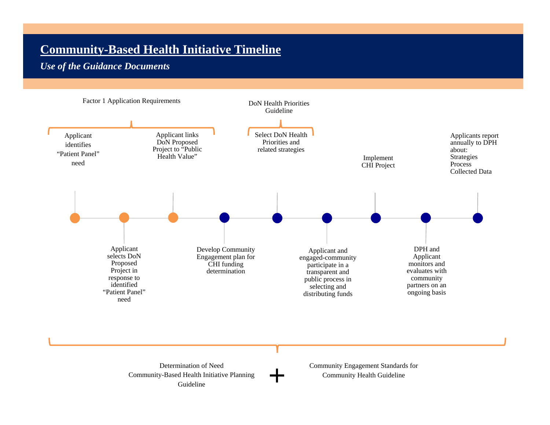# **Community-Based Health Initiative Timeline**

# *Use of the Guidance Documents*



Determination of Need Community-Based Health Initiative Planning Guideline

Community Engagement Standards for Community Health Guideline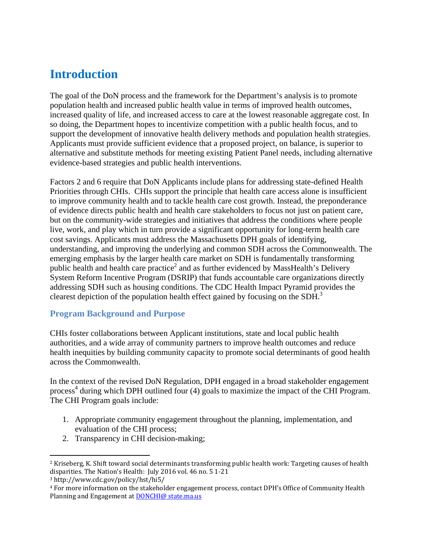# **Introduction**

The goal of the DoN process and the framework for the Department's analysis is to promote population health and increased public health value in terms of improved health outcomes, increased quality of life, and increased access to care at the lowest reasonable aggregate cost. In so doing, the Department hopes to incentivize competition with a public health focus, and to support the development of innovative health delivery methods and population health strategies. Applicants must provide sufficient evidence that a proposed project, on balance, is superior to alternative and substitute methods for meeting existing Patient Panel needs, including alternative evidence-based strategies and public health interventions.

Factors 2 and 6 require that DoN Applicants include plans for addressing state-defined Health Priorities through CHIs. CHIs support the principle that health care access alone is insufficient to improve community health and to tackle health care cost growth. Instead, the preponderance of evidence directs public health and health care stakeholders to focus not just on patient care, but on the community-wide strategies and initiatives that address the conditions where people live, work, and play which in turn provide a significant opportunity for long-term health care cost savings. Applicants must address the Massachusetts DPH goals of identifying, understanding, and improving the underlying and common SDH across the Commonwealth. The emerging emphasis by the larger health care market on SDH is fundamentally transforming public health and health care practice<sup>2</sup> and as further evidenced by MassHealth's Delivery System Reform Incentive Program (DSRIP) that funds accountable care organizations directly addressing SDH such as housing conditions. The CDC Health Impact Pyramid provides the clearest depiction of the population health effect gained by focusing on the SDH.<sup>3</sup>

## **Program Background and Purpose**

CHIs foster collaborations between Applicant institutions, state and local public health authorities, and a wide array of community partners to improve health outcomes and reduce health inequities by building community capacity to promote social determinants of good health across the Commonwealth.

In the context of the revised DoN Regulation, DPH engaged in a broad stakeholder engagement process 4 during which DPH outlined four (4) goals to maximize the impact of the CHI Program. The CHI Program goals include:

- 1. Appropriate community engagement throughout the planning, implementation, and evaluation of the CHI process;
- 2. Transparency in CHI decision-making;

1

<sup>2</sup> Kriseberg, K. Shift toward social determinants transforming public health work: Targeting causes of health disparities. The Nation's Health: July 2016 vol. 46 no. 5 1-21

<sup>3</sup> http://www.cdc.gov/policy/hst/hi5/

<sup>4</sup> For more information on the stakeholder engagement process, contact DPH's Office of Community Health Planning and Engagement at DONCHI@ state.ma.us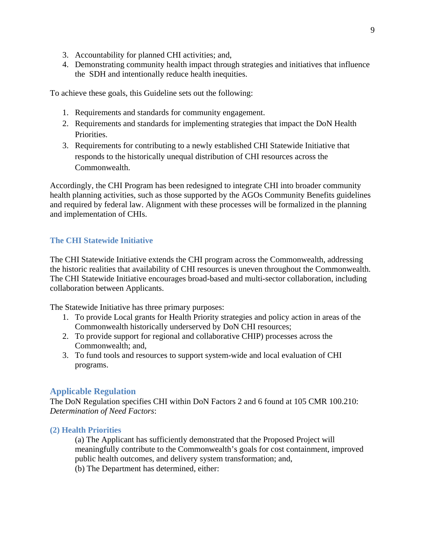- 3. Accountability for planned CHI activities; and,
- 4. Demonstrating community health impact through strategies and initiatives that influence the SDH and intentionally reduce health inequities.

To achieve these goals, this Guideline sets out the following:

- 1. Requirements and standards for community engagement.
- 2. Requirements and standards for implementing strategies that impact the DoN Health Priorities.
- 3. Requirements for contributing to a newly established CHI Statewide Initiative that responds to the historically unequal distribution of CHI resources across the Commonwealth.

Accordingly, the CHI Program has been redesigned to integrate CHI into broader community health planning activities, such as those supported by the AGOs Community Benefits guidelines and required by federal law. Alignment with these processes will be formalized in the planning and implementation of CHIs.

#### **The CHI Statewide Initiative**

The CHI Statewide Initiative extends the CHI program across the Commonwealth, addressing the historic realities that availability of CHI resources is uneven throughout the Commonwealth. The CHI Statewide Initiative encourages broad-based and multi-sector collaboration, including collaboration between Applicants.

The Statewide Initiative has three primary purposes:

- 1. To provide Local grants for Health Priority strategies and policy action in areas of the Commonwealth historically underserved by DoN CHI resources;
- 2. To provide support for regional and collaborative CHIP) processes across the Commonwealth; and,
- 3. To fund tools and resources to support system-wide and local evaluation of CHI programs.

#### **Applicable Regulation**

The DoN Regulation specifies CHI within DoN Factors 2 and 6 found at 105 CMR 100.210: *Determination of Need Factors*:

#### **(2) Health Priorities**

(a) The Applicant has sufficiently demonstrated that the Proposed Project will meaningfully contribute to the Commonwealth's goals for cost containment, improved public health outcomes, and delivery system transformation; and,

(b) The Department has determined, either: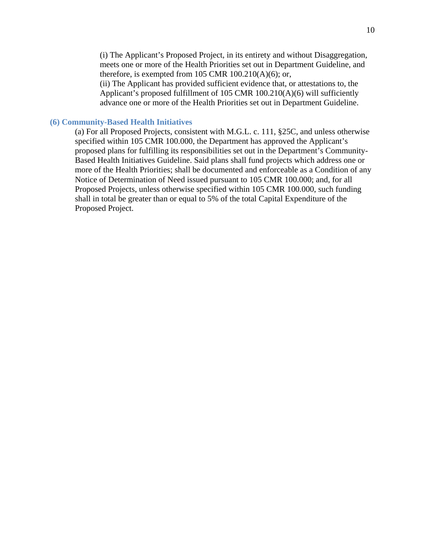(i) The Applicant's Proposed Project, in its entirety and without Disaggregation, meets one or more of the Health Priorities set out in Department Guideline, and therefore, is exempted from 105 CMR  $100.210(A)(6)$ ; or,

(ii) The Applicant has provided sufficient evidence that, or attestations to, the Applicant's proposed fulfillment of 105 CMR 100.210(A)(6) will sufficiently advance one or more of the Health Priorities set out in Department Guideline.

#### **(6) Community-Based Health Initiatives**

(a) For all Proposed Projects, consistent with M.G.L. c. 111, §25C, and unless otherwise specified within 105 CMR 100.000, the Department has approved the Applicant's proposed plans for fulfilling its responsibilities set out in the Department's Community-Based Health Initiatives Guideline. Said plans shall fund projects which address one or more of the Health Priorities; shall be documented and enforceable as a Condition of any Notice of Determination of Need issued pursuant to 105 CMR 100.000; and, for all Proposed Projects, unless otherwise specified within 105 CMR 100.000, such funding shall in total be greater than or equal to 5% of the total Capital Expenditure of the Proposed Project.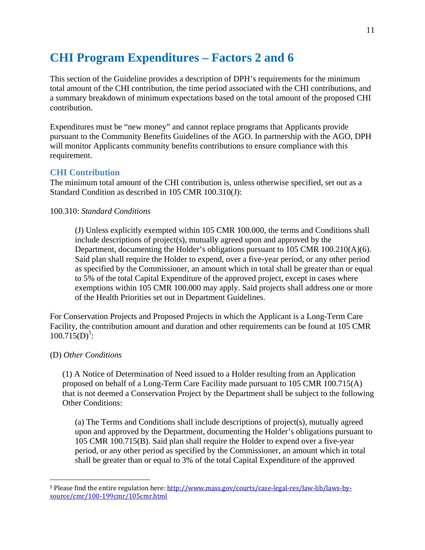# **CHI Program Expenditures – Factors 2 and 6**

This section of the Guideline provides a description of DPH's requirements for the minimum total amount of the CHI contribution, the time period associated with the CHI contributions, and a summary breakdown of minimum expectations based on the total amount of the proposed CHI contribution.

Expenditures must be "new money" and cannot replace programs that Applicants provide pursuant to the Community Benefits Guidelines of the AGO. In partnership with the AGO, DPH will monitor Applicants community benefits contributions to ensure compliance with this requirement.

#### **CHI Contribution**

The minimum total amount of the CHI contribution is, unless otherwise specified, set out as a Standard Condition as described in 105 CMR 100.310(J):

#### 100.310: *Standard Conditions*

(J) Unless explicitly exempted within 105 CMR 100.000, the terms and Conditions shall include descriptions of project(s), mutually agreed upon and approved by the Department, documenting the Holder's obligations pursuant to 105 CMR 100.210(A)(6). Said plan shall require the Holder to expend, over a five-year period, or any other period as specified by the Commissioner, an amount which in total shall be greater than or equal to 5% of the total Capital Expenditure of the approved project, except in cases where exemptions within 105 CMR 100.000 may apply. Said projects shall address one or more of the Health Priorities set out in Department Guidelines.

For Conservation Projects and Proposed Projects in which the Applicant is a Long-Term Care Facility, the contribution amount and duration and other requirements can be found at 105 CMR  $100.715(D)^5$ :

#### (D) *Other Conditions*

1

(1) A Notice of Determination of Need issued to a Holder resulting from an Application proposed on behalf of a Long-Term Care Facility made pursuant to 105 CMR 100.715(A) that is not deemed a Conservation Project by the Department shall be subject to the following Other Conditions:

(a) The Terms and Conditions shall include descriptions of project(s), mutually agreed upon and approved by the Department, documenting the Holder's obligations pursuant to 105 CMR 100.715(B). Said plan shall require the Holder to expend over a five-year period, or any other period as specified by the Commissioner, an amount which in total shall be greater than or equal to 3% of the total Capital Expenditure of the approved

<sup>5</sup> Please find the entire regulation here: http://www.mass.gov/courts/case-legal-res/law-lib/laws-bysource/cmr/100-199cmr/105cmr.html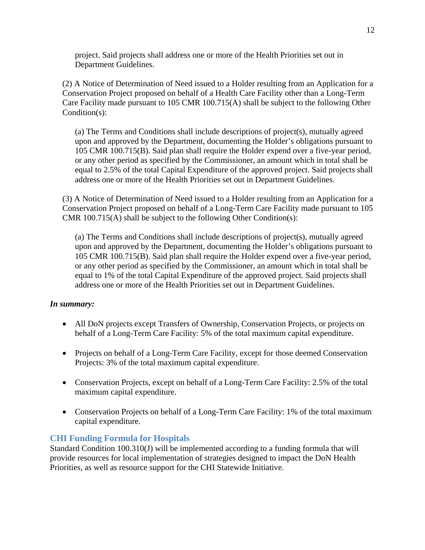project. Said projects shall address one or more of the Health Priorities set out in Department Guidelines.

(2) A Notice of Determination of Need issued to a Holder resulting from an Application for a Conservation Project proposed on behalf of a Health Care Facility other than a Long-Term Care Facility made pursuant to 105 CMR 100.715(A) shall be subject to the following Other Condition(s):

(a) The Terms and Conditions shall include descriptions of project(s), mutually agreed upon and approved by the Department, documenting the Holder's obligations pursuant to 105 CMR 100.715(B). Said plan shall require the Holder expend over a five-year period, or any other period as specified by the Commissioner, an amount which in total shall be equal to 2.5% of the total Capital Expenditure of the approved project. Said projects shall address one or more of the Health Priorities set out in Department Guidelines.

(3) A Notice of Determination of Need issued to a Holder resulting from an Application for a Conservation Project proposed on behalf of a Long-Term Care Facility made pursuant to 105 CMR 100.715(A) shall be subject to the following Other Condition(s):

(a) The Terms and Conditions shall include descriptions of project(s), mutually agreed upon and approved by the Department, documenting the Holder's obligations pursuant to 105 CMR 100.715(B). Said plan shall require the Holder expend over a five-year period, or any other period as specified by the Commissioner, an amount which in total shall be equal to 1% of the total Capital Expenditure of the approved project. Said projects shall address one or more of the Health Priorities set out in Department Guidelines.

#### *In summary:*

- All DoN projects except Transfers of Ownership, Conservation Projects, or projects on behalf of a Long-Term Care Facility: 5% of the total maximum capital expenditure.
- Projects on behalf of a Long-Term Care Facility, except for those deemed Conservation Projects: 3% of the total maximum capital expenditure.
- Conservation Projects, except on behalf of a Long-Term Care Facility: 2.5% of the total maximum capital expenditure.
- Conservation Projects on behalf of a Long-Term Care Facility: 1% of the total maximum capital expenditure.

#### **CHI Funding Formula for Hospitals**

Standard Condition 100.310(J) will be implemented according to a funding formula that will provide resources for local implementation of strategies designed to impact the DoN Health Priorities, as well as resource support for the CHI Statewide Initiative.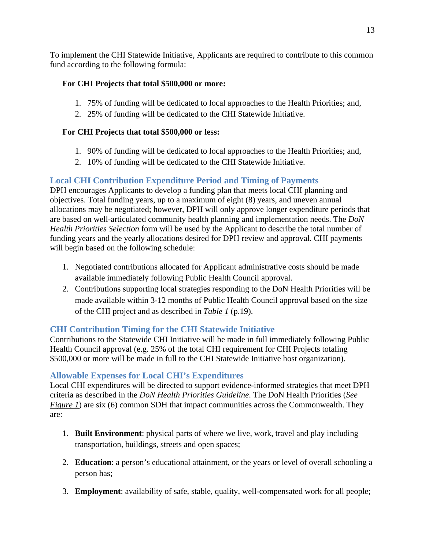To implement the CHI Statewide Initiative, Applicants are required to contribute to this common fund according to the following formula:

## **For CHI Projects that total \$500,000 or more:**

- 1. 75% of funding will be dedicated to local approaches to the Health Priorities; and,
- 2. 25% of funding will be dedicated to the CHI Statewide Initiative.

## **For CHI Projects that total \$500,000 or less:**

- 1. 90% of funding will be dedicated to local approaches to the Health Priorities; and,
- 2. 10% of funding will be dedicated to the CHI Statewide Initiative.

# **Local CHI Contribution Expenditure Period and Timing of Payments**

DPH encourages Applicants to develop a funding plan that meets local CHI planning and objectives. Total funding years, up to a maximum of eight (8) years, and uneven annual allocations may be negotiated; however, DPH will only approve longer expenditure periods that are based on well-articulated community health planning and implementation needs. The *DoN Health Priorities Selection* form will be used by the Applicant to describe the total number of funding years and the yearly allocations desired for DPH review and approval. CHI payments will begin based on the following schedule:

- 1. Negotiated contributions allocated for Applicant administrative costs should be made available immediately following Public Health Council approval.
- 2. Contributions supporting local strategies responding to the DoN Health Priorities will be made available within 3-12 months of Public Health Council approval based on the size of the CHI project and as described in *Table 1* (p.19).

# **CHI Contribution Timing for the CHI Statewide Initiative**

Contributions to the Statewide CHI Initiative will be made in full immediately following Public Health Council approval (e.g. 25% of the total CHI requirement for CHI Projects totaling \$500,000 or more will be made in full to the CHI Statewide Initiative host organization).

## **Allowable Expenses for Local CHI's Expenditures**

Local CHI expenditures will be directed to support evidence-informed strategies that meet DPH criteria as described in the *DoN Health Priorities Guideline*. The DoN Health Priorities (*See Figure 1*) are six (6) common SDH that impact communities across the Commonwealth. They are:

- 1. **Built Environment**: physical parts of where we live, work, travel and play including transportation, buildings, streets and open spaces;
- 2. **Education**: a person's educational attainment, or the years or level of overall schooling a person has;
- 3. **Employment**: availability of safe, stable, quality, well-compensated work for all people;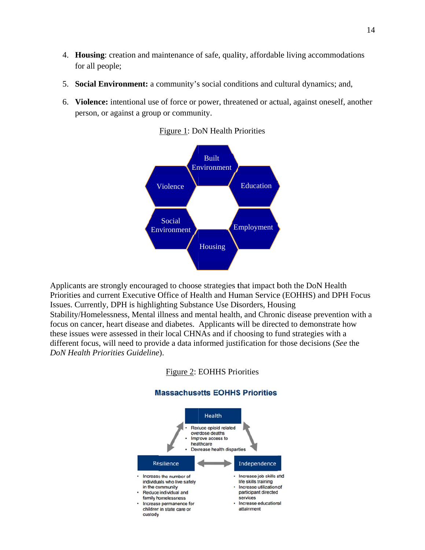- 4. Housing: creation and maintenance of safe, quality, affordable living accommodations for all people;
- 5. Social Environment: a community's social conditions and cultural dynamics; and,
- 6. Violence: intentional use of force or power, threatened or actual, against oneself, another person, or against a group or community.



Figure 1: DoN Health Priorities

Applicants are strongly encouraged to choose strategies that impact both the DoN Health Priorities and current Executive Office of Health and Human Service (EOHHS) and DPH Focus Issues. Currently, DPH is highlighting Substance Use Disorders, Housing Stability/Homelessness, Mental illness and mental health, and Chronic disease prevention with a focus on cancer, heart disease and diabetes. Applicants will be directed to demonstrate how these issues were assessed in their local CHNAs and if choosing to fund strategies with a different focus, will need to provide a data informed justification for those decisions (See the *DoN Health Priorities Guideline*).

Figure 2: EOHHS Priorities



**Massachusetts EOHHS Priorities**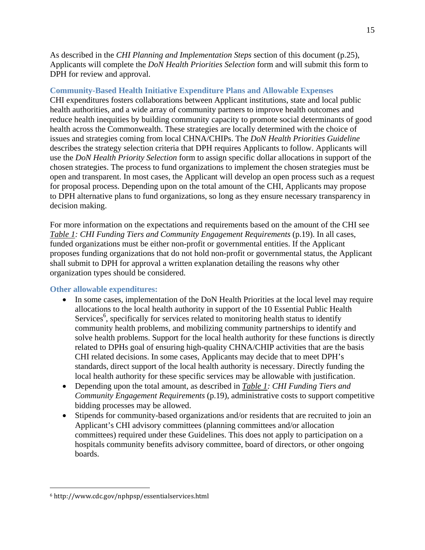As described in the *CHI Planning and Implementation Steps* section of this document (p.25), Applicants will complete the *DoN Health Priorities Selection* form and will submit this form to DPH for review and approval.

#### **Community-Based Health Initiative Expenditure Plans and Allowable Expenses**

CHI expenditures fosters collaborations between Applicant institutions, state and local public health authorities, and a wide array of community partners to improve health outcomes and reduce health inequities by building community capacity to promote social determinants of good health across the Commonwealth. These strategies are locally determined with the choice of issues and strategies coming from local CHNA/CHIPs. The *DoN Health Priorities Guideline* describes the strategy selection criteria that DPH requires Applicants to follow. Applicants will use the *DoN Health Priority Selection* form to assign specific dollar allocations in support of the chosen strategies. The process to fund organizations to implement the chosen strategies must be open and transparent. In most cases, the Applicant will develop an open process such as a request for proposal process. Depending upon on the total amount of the CHI, Applicants may propose to DPH alternative plans to fund organizations, so long as they ensure necessary transparency in decision making.

For more information on the expectations and requirements based on the amount of the CHI see *Table 1: CHI Funding Tiers and Community Engagement Requirements* (p.19). In all cases, funded organizations must be either non-profit or governmental entities. If the Applicant proposes funding organizations that do not hold non-profit or governmental status, the Applicant shall submit to DPH for approval a written explanation detailing the reasons why other organization types should be considered.

#### **Other allowable expenditures:**

- In some cases, implementation of the DoN Health Priorities at the local level may require allocations to the local health authority in support of the 10 Essential Public Health Services<sup>6</sup>, specifically for services related to monitoring health status to identify community health problems, and mobilizing community partnerships to identify and solve health problems. Support for the local health authority for these functions is directly related to DPHs goal of ensuring high-quality CHNA/CHIP activities that are the basis CHI related decisions. In some cases, Applicants may decide that to meet DPH's standards, direct support of the local health authority is necessary. Directly funding the local health authority for these specific services may be allowable with justification.
- Depending upon the total amount, as described in *Table 1: CHI Funding Tiers and Community Engagement Requirements* (p.19), administrative costs to support competitive bidding processes may be allowed.
- Stipends for community-based organizations and/or residents that are recruited to join an Applicant's CHI advisory committees (planning committees and/or allocation committees) required under these Guidelines. This does not apply to participation on a hospitals community benefits advisory committee, board of directors, or other ongoing boards.

 $\overline{a}$ 

<sup>6</sup> http://www.cdc.gov/nphpsp/essentialservices.html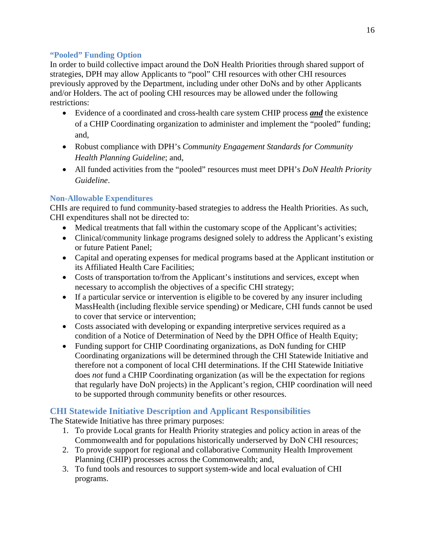#### **"Pooled" Funding Option**

In order to build collective impact around the DoN Health Priorities through shared support of strategies, DPH may allow Applicants to "pool" CHI resources with other CHI resources previously approved by the Department, including under other DoNs and by other Applicants and/or Holders. The act of pooling CHI resources may be allowed under the following restrictions:

- Evidence of a coordinated and cross-health care system CHIP process *and* the existence of a CHIP Coordinating organization to administer and implement the "pooled" funding; and,
- Robust compliance with DPH's *Community Engagement Standards for Community Health Planning Guideline*; and,
- All funded activities from the "pooled" resources must meet DPH's *DoN Health Priority Guideline*.

#### **Non-Allowable Expenditures**

CHIs are required to fund community-based strategies to address the Health Priorities. As such, CHI expenditures shall not be directed to:

- Medical treatments that fall within the customary scope of the Applicant's activities;
- Clinical/community linkage programs designed solely to address the Applicant's existing or future Patient Panel;
- Capital and operating expenses for medical programs based at the Applicant institution or its Affiliated Health Care Facilities;
- Costs of transportation to/from the Applicant's institutions and services, except when necessary to accomplish the objectives of a specific CHI strategy;
- If a particular service or intervention is eligible to be covered by any insurer including MassHealth (including flexible service spending) or Medicare, CHI funds cannot be used to cover that service or intervention;
- Costs associated with developing or expanding interpretive services required as a condition of a Notice of Determination of Need by the DPH Office of Health Equity;
- Funding support for CHIP Coordinating organizations, as DoN funding for CHIP Coordinating organizations will be determined through the CHI Statewide Initiative and therefore not a component of local CHI determinations. If the CHI Statewide Initiative does *not* fund a CHIP Coordinating organization (as will be the expectation for regions that regularly have DoN projects) in the Applicant's region, CHIP coordination will need to be supported through community benefits or other resources.

## **CHI Statewide Initiative Description and Applicant Responsibilities**

The Statewide Initiative has three primary purposes:

- 1. To provide Local grants for Health Priority strategies and policy action in areas of the Commonwealth and for populations historically underserved by DoN CHI resources;
- 2. To provide support for regional and collaborative Community Health Improvement Planning (CHIP) processes across the Commonwealth; and,
- 3. To fund tools and resources to support system-wide and local evaluation of CHI programs.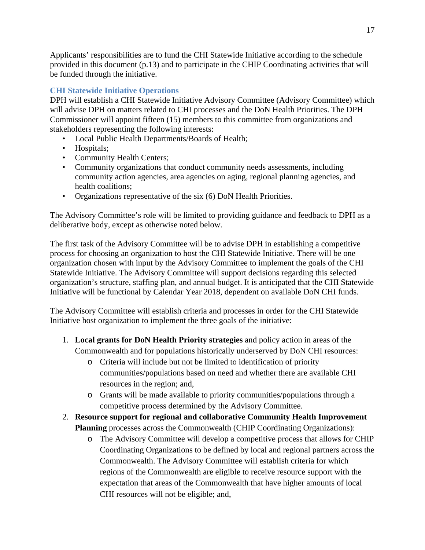Applicants' responsibilities are to fund the CHI Statewide Initiative according to the schedule provided in this document (p.13) and to participate in the CHIP Coordinating activities that will be funded through the initiative.

#### **CHI Statewide Initiative Operations**

DPH will establish a CHI Statewide Initiative Advisory Committee (Advisory Committee) which will advise DPH on matters related to CHI processes and the DoN Health Priorities. The DPH Commissioner will appoint fifteen (15) members to this committee from organizations and stakeholders representing the following interests:

- Local Public Health Departments/Boards of Health;
- Hospitals;
- Community Health Centers;
- Community organizations that conduct community needs assessments, including community action agencies, area agencies on aging, regional planning agencies, and health coalitions;
- Organizations representative of the six (6) DoN Health Priorities.

The Advisory Committee's role will be limited to providing guidance and feedback to DPH as a deliberative body, except as otherwise noted below.

The first task of the Advisory Committee will be to advise DPH in establishing a competitive process for choosing an organization to host the CHI Statewide Initiative. There will be one organization chosen with input by the Advisory Committee to implement the goals of the CHI Statewide Initiative. The Advisory Committee will support decisions regarding this selected organization's structure, staffing plan, and annual budget. It is anticipated that the CHI Statewide Initiative will be functional by Calendar Year 2018, dependent on available DoN CHI funds.

The Advisory Committee will establish criteria and processes in order for the CHI Statewide Initiative host organization to implement the three goals of the initiative:

- 1. **Local grants for DoN Health Priority strategies** and policy action in areas of the Commonwealth and for populations historically underserved by DoN CHI resources:
	- o Criteria will include but not be limited to identification of priority communities/populations based on need and whether there are available CHI resources in the region; and,
	- o Grants will be made available to priority communities/populations through a competitive process determined by the Advisory Committee.
- 2. **Resource support for regional and collaborative Community Health Improvement Planning** processes across the Commonwealth (CHIP Coordinating Organizations):
	- o The Advisory Committee will develop a competitive process that allows for CHIP Coordinating Organizations to be defined by local and regional partners across the Commonwealth. The Advisory Committee will establish criteria for which regions of the Commonwealth are eligible to receive resource support with the expectation that areas of the Commonwealth that have higher amounts of local CHI resources will not be eligible; and,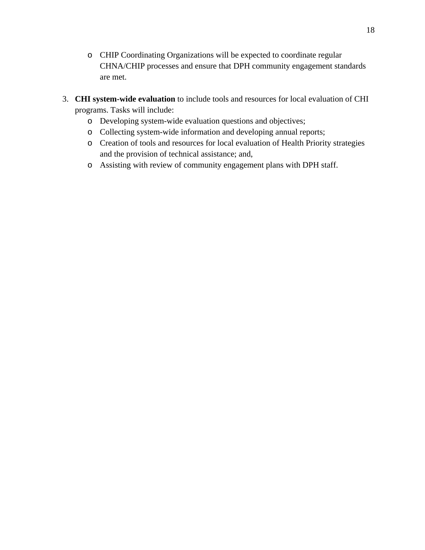- o CHIP Coordinating Organizations will be expected to coordinate regular CHNA/CHIP processes and ensure that DPH community engagement standards are met.
- 3. **CHI system-wide evaluation** to include tools and resources for local evaluation of CHI programs. Tasks will include:
	- o Developing system-wide evaluation questions and objectives;
	- o Collecting system-wide information and developing annual reports;
	- o Creation of tools and resources for local evaluation of Health Priority strategies and the provision of technical assistance; and,
	- o Assisting with review of community engagement plans with DPH staff.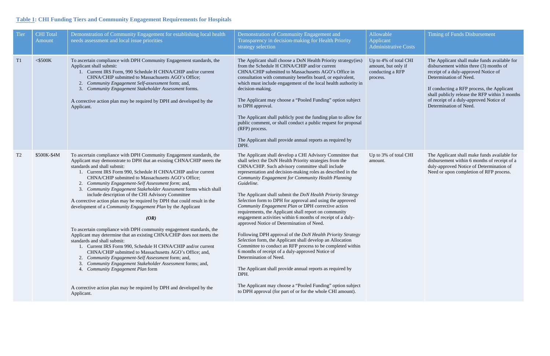# **Table 1: CHI Funding Tiers and Community Engagement Requirements for Hospitals**

| <b>Tier</b>    | <b>CHI</b> Total<br>Amount | Demonstration of Community Engagement for establishing local health<br>needs assessment and local issue priorities                                                                                                                                                                                                                                                                                                                                                                                                                                                                                                                                                                                                                                                                                                                                                                                                                                                                                                                                                                                                                                                                                   | Demonstration of Community Engagement and<br>Transparency in decision-making for Health Priority<br>strategy selection                                                                                                                                                                                                                                                                                                                                                                                                                                                                                                                                                                                                                                                                                                                                                                                                                                                                                                                                                                                                                              | Allowable<br>Applicant<br><b>Administrative Costs</b>                        |
|----------------|----------------------------|------------------------------------------------------------------------------------------------------------------------------------------------------------------------------------------------------------------------------------------------------------------------------------------------------------------------------------------------------------------------------------------------------------------------------------------------------------------------------------------------------------------------------------------------------------------------------------------------------------------------------------------------------------------------------------------------------------------------------------------------------------------------------------------------------------------------------------------------------------------------------------------------------------------------------------------------------------------------------------------------------------------------------------------------------------------------------------------------------------------------------------------------------------------------------------------------------|-----------------------------------------------------------------------------------------------------------------------------------------------------------------------------------------------------------------------------------------------------------------------------------------------------------------------------------------------------------------------------------------------------------------------------------------------------------------------------------------------------------------------------------------------------------------------------------------------------------------------------------------------------------------------------------------------------------------------------------------------------------------------------------------------------------------------------------------------------------------------------------------------------------------------------------------------------------------------------------------------------------------------------------------------------------------------------------------------------------------------------------------------------|------------------------------------------------------------------------------|
| T <sub>1</sub> | $<$ \$500K                 | To ascertain compliance with DPH Community Engagement standards, the<br>Applicant shall submit:<br>1. Current IRS Form, 990 Schedule H CHNA/CHIP and/or current<br>CHNA/CHIP submitted to Massachusetts AGO's Office;<br>Community Engagement Self-assessment form; and,<br>2.<br>3.<br>Community Engagement Stakeholder Assessment forms.<br>A corrective action plan may be required by DPH and developed by the<br>Applicant.                                                                                                                                                                                                                                                                                                                                                                                                                                                                                                                                                                                                                                                                                                                                                                     | The Applicant shall choose a DoN Health Priority strategy(ies)<br>from the Schedule H CHNA/CHIP and/or current<br>CHNA/CHIP submitted to Massachusetts AGO's Office in<br>consultation with community benefits board, or equivalent,<br>which must include engagement of the local health authority in<br>decision-making.<br>The Applicant may choose a "Pooled Funding" option subject<br>to DPH approval.<br>The Applicant shall publicly post the funding plan to allow for<br>public comment, or shall conduct a public request for proposal<br>(RFP) process.<br>The Applicant shall provide annual reports as required by<br>DPH.                                                                                                                                                                                                                                                                                                                                                                                                                                                                                                            | Up to 4% of total CHI<br>amount, but only if<br>conducting a RFP<br>process. |
| T <sub>2</sub> | \$500K-\$4M                | To ascertain compliance with DPH Community Engagement standards, the<br>Applicant may demonstrate to DPH that an existing CHNA/CHIP meets the<br>standards and shall submit:<br>1. Current IRS Form 990, Schedule H CHNA/CHIP and/or current<br>CHNA/CHIP submitted to Massachusetts AGO's Office;<br>2. Community Engagement-Self Assessment form; and,<br>Community Engagement Stakeholder Assessment forms which shall<br>include description of the CHI Advisory Committee<br>A corrective action plan may be required by DPH that could result in the<br>development of a Community Engagement Plan by the Applicant<br>(OR)<br>To ascertain compliance with DPH community engagement standards, the<br>Applicant may determine that an existing CHNA/CHIP does not meets the<br>standards and shall submit:<br>1. Current IRS Form 990, Schedule H CHNA/CHIP and/or current<br>CHNA/CHIP submitted to Massachusetts AGO's Office; and,<br>Community Engagement-Self Assessment form; and,<br>2.<br>Community Engagement Stakeholder Assessment forms; and,<br>3.<br>Community Engagement Plan form<br>4.<br>A corrective action plan may be required by DPH and developed by the<br>Applicant. | The Applicant shall develop a CHI Advisory Committee that<br>shall select the DoN Health Priority strategies from the<br>CHNA/CHIP. Such advisory committee shall include<br>representation and decision-making roles as described in the<br>Community Engagement for Community Health Planning<br>Guideline.<br>The Applicant shall submit the DoN Health Priority Strategy<br>Selection form to DPH for approval and using the approved<br>Community Engagement Plan or DPH corrective action<br>requirements, the Applicant shall report on community<br>engagement activities within 6 months of receipt of a duly-<br>approved Notice of Determination of Need.<br>Following DPH approval of the <i>DoN Health Priority Strategy</i><br>Selection form, the Applicant shall develop an Allocation<br>Committee to conduct an RFP process to be completed within<br>6 months of receipt of a duly-approved Notice of<br>Determination of Need.<br>The Applicant shall provide annual reports as required by<br>DPH.<br>The Applicant may choose a "Pooled Funding" option subject<br>to DPH approval (for part of or for the whole CHI amount). | Up to 3% of total CHI<br>amount.                                             |

| Costs                      | <b>Timing of Funds Disbursement</b>                                                                                                                                                                                                                                                                                            |
|----------------------------|--------------------------------------------------------------------------------------------------------------------------------------------------------------------------------------------------------------------------------------------------------------------------------------------------------------------------------|
| <b>CHI</b><br>$\mathbf{f}$ | The Applicant shall make funds available for<br>disbursement within three (3) months of<br>receipt of a duly-approved Notice of<br>Determination of Need.<br>If conducting a RFP process, the Applicant<br>shall publicly release the RFP within 3 months<br>of receipt of a duly-approved Notice of<br>Determination of Need. |
| <b>CHI</b>                 | The Applicant shall make funds available for<br>disbursement within 6 months of receipt of a<br>duly-approved Notice of Determination of<br>Need or upon completion of RFP process.                                                                                                                                            |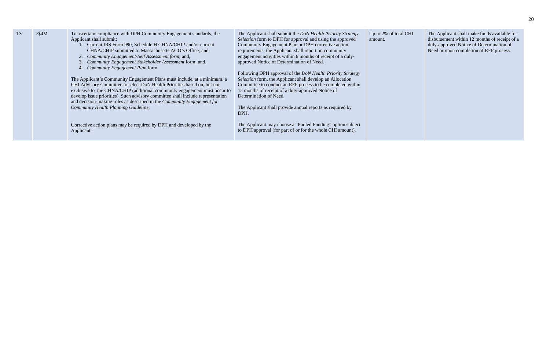| T <sub>3</sub> | $>\$4M$ | To ascertain compliance with DPH Community Engagement standards, the<br>Applicant shall submit:<br>Current IRS Form 990, Schedule H CHNA/CHIP and/or current<br>CHNA/CHIP submitted to Massachusetts AGO's Office; and,<br>Community Engagement-Self Assessment form; and,<br>Community Engagement Stakeholder Assessment form; and,<br>Community Engagement Plan form.                                                                        | The Applicant shall submit the <i>DoN Health Priority Strategy</i><br>Selection form to DPH for approval and using the approved<br>Community Engagement Plan or DPH corrective action<br>requirements, the Applicant shall report on community<br>engagement activities within 6 months of receipt of a duly-<br>approved Notice of Determination of Need. | Up to 2% of total<br>amount. |
|----------------|---------|------------------------------------------------------------------------------------------------------------------------------------------------------------------------------------------------------------------------------------------------------------------------------------------------------------------------------------------------------------------------------------------------------------------------------------------------|------------------------------------------------------------------------------------------------------------------------------------------------------------------------------------------------------------------------------------------------------------------------------------------------------------------------------------------------------------|------------------------------|
|                |         | The Applicant's Community Engagement Plans must include, at a minimum, a<br>CHI Advisory Committee to select DoN Health Priorities based on, but not<br>exclusive to, the CHNA/CHIP (additional community engagement must occur to<br>develop issue priorities). Such advisory committee shall include representation<br>and decision-making roles as described in the <i>Community Engagement for</i><br>Community Health Planning Guideline. | Following DPH approval of the <i>DoN Health Priority Strategy</i><br>Selection form, the Applicant shall develop an Allocation<br>Committee to conduct an RFP process to be completed within<br>12 months of receipt of a duly-approved Notice of<br>Determination of Need.<br>The Applicant shall provide annual reports as required by                   |                              |
|                |         | Corrective action plans may be required by DPH and developed by the<br>Applicant.                                                                                                                                                                                                                                                                                                                                                              | DPH.<br>The Applicant may choose a "Pooled Funding" option subject<br>to DPH approval (for part of or for the whole CHI amount).                                                                                                                                                                                                                           |                              |

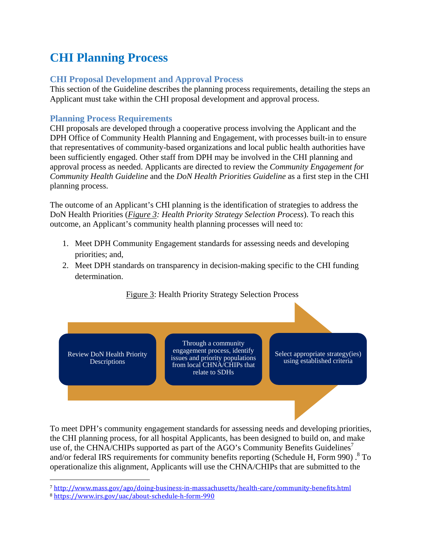# **CHI Planning Process**

## **CHI Proposal Development and Approval Process**

This section of the Guideline describes the planning process requirements, detailing the steps an Applicant must take within the CHI proposal development and approval process.

## **Planning Process Requirements**

CHI proposals are developed through a cooperative process involving the Applicant and the DPH Office of Community Health Planning and Engagement, with processes built-in to ensure that representatives of community-based organizations and local public health authorities have been sufficiently engaged. Other staff from DPH may be involved in the CHI planning and approval process as needed. Applicants are directed to review the *Community Engagement for Community Health Guideline* and the *DoN Health Priorities Guideline* as a first step in the CHI planning process.

The outcome of an Applicant's CHI planning is the identification of strategies to address the DoN Health Priorities (*Figure 3: Health Priority Strategy Selection Process*). To reach this outcome, an Applicant's community health planning processes will need to:

- 1. Meet DPH Community Engagement standards for assessing needs and developing priorities; and,
- 2. Meet DPH standards on transparency in decision-making specific to the CHI funding determination.



To meet DPH's community engagement standards for assessing needs and developing priorities, the CHI planning process, for all hospital Applicants, has been designed to build on, and make use of, the CHNA/CHIPs supported as part of the AGO's Community Benefits Guidelines<sup>7</sup> and/or federal IRS requirements for community benefits reporting (Schedule H, Form 990).  $8$  To operationalize this alignment, Applicants will use the CHNA/CHIPs that are submitted to the

 $\overline{a}$ <sup>7</sup> http://www.mass.gov/ago/doing-business-in-massachusetts/health-care/community-benefits.html 8 https://www.irs.gov/uac/about-schedule-h-form-990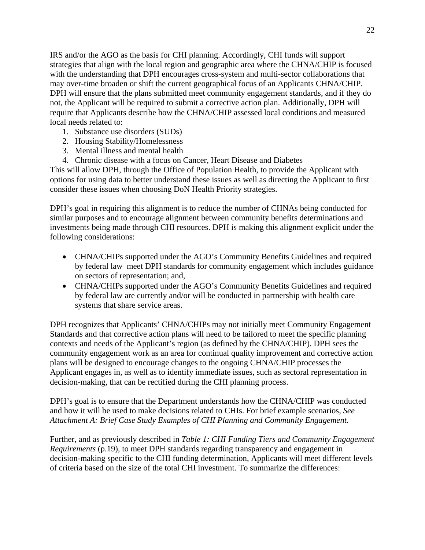IRS and/or the AGO as the basis for CHI planning. Accordingly, CHI funds will support strategies that align with the local region and geographic area where the CHNA/CHIP is focused with the understanding that DPH encourages cross-system and multi-sector collaborations that may over-time broaden or shift the current geographical focus of an Applicants CHNA/CHIP. DPH will ensure that the plans submitted meet community engagement standards, and if they do not, the Applicant will be required to submit a corrective action plan. Additionally, DPH will require that Applicants describe how the CHNA/CHIP assessed local conditions and measured local needs related to:

- 1. Substance use disorders (SUDs)
- 2. Housing Stability/Homelessness
- 3. Mental illness and mental health
- 4. Chronic disease with a focus on Cancer, Heart Disease and Diabetes

This will allow DPH, through the Office of Population Health, to provide the Applicant with options for using data to better understand these issues as well as directing the Applicant to first consider these issues when choosing DoN Health Priority strategies.

DPH's goal in requiring this alignment is to reduce the number of CHNAs being conducted for similar purposes and to encourage alignment between community benefits determinations and investments being made through CHI resources. DPH is making this alignment explicit under the following considerations:

- CHNA/CHIPs supported under the AGO's Community Benefits Guidelines and required by federal law meet DPH standards for community engagement which includes guidance on sectors of representation; and,
- CHNA/CHIPs supported under the AGO's Community Benefits Guidelines and required by federal law are currently and/or will be conducted in partnership with health care systems that share service areas.

DPH recognizes that Applicants' CHNA/CHIPs may not initially meet Community Engagement Standards and that corrective action plans will need to be tailored to meet the specific planning contexts and needs of the Applicant's region (as defined by the CHNA/CHIP). DPH sees the community engagement work as an area for continual quality improvement and corrective action plans will be designed to encourage changes to the ongoing CHNA/CHIP processes the Applicant engages in, as well as to identify immediate issues, such as sectoral representation in decision-making, that can be rectified during the CHI planning process.

DPH's goal is to ensure that the Department understands how the CHNA/CHIP was conducted and how it will be used to make decisions related to CHIs. For brief example scenarios, *See Attachment A: Brief Case Study Examples of CHI Planning and Community Engagement*.

Further, and as previously described in *Table 1: CHI Funding Tiers and Community Engagement Requirements* (p.19), to meet DPH standards regarding transparency and engagement in decision-making specific to the CHI funding determination, Applicants will meet different levels of criteria based on the size of the total CHI investment. To summarize the differences: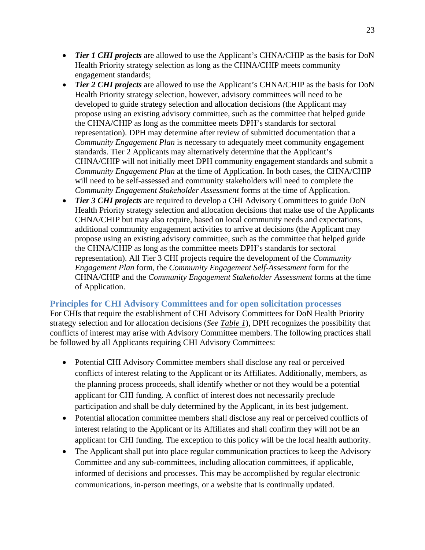- *Tier 1 CHI projects* are allowed to use the Applicant's CHNA/CHIP as the basis for DoN Health Priority strategy selection as long as the CHNA/CHIP meets community engagement standards;
- *Tier 2 CHI projects* are allowed to use the Applicant's CHNA/CHIP as the basis for DoN Health Priority strategy selection, however, advisory committees will need to be developed to guide strategy selection and allocation decisions (the Applicant may propose using an existing advisory committee, such as the committee that helped guide the CHNA/CHIP as long as the committee meets DPH's standards for sectoral representation). DPH may determine after review of submitted documentation that a *Community Engagement Plan* is necessary to adequately meet community engagement standards. Tier 2 Applicants may alternatively determine that the Applicant's CHNA/CHIP will not initially meet DPH community engagement standards and submit a *Community Engagement Plan* at the time of Application. In both cases, the CHNA/CHIP will need to be self-assessed and community stakeholders will need to complete the *Community Engagement Stakeholder Assessment* forms at the time of Application.
- *Tier 3 CHI projects* are required to develop a CHI Advisory Committees to guide DoN Health Priority strategy selection and allocation decisions that make use of the Applicants CHNA/CHIP but may also require, based on local community needs and expectations, additional community engagement activities to arrive at decisions (the Applicant may propose using an existing advisory committee, such as the committee that helped guide the CHNA/CHIP as long as the committee meets DPH's standards for sectoral representation). All Tier 3 CHI projects require the development of the *Community Engagement Plan* form, the *Community Engagement Self-Assessment* form for the CHNA/CHIP and the *Community Engagement Stakeholder Assessment* forms at the time of Application.

#### **Principles for CHI Advisory Committees and for open solicitation processes**

For CHIs that require the establishment of CHI Advisory Committees for DoN Health Priority strategy selection and for allocation decisions (*See Table 1*), DPH recognizes the possibility that conflicts of interest may arise with Advisory Committee members. The following practices shall be followed by all Applicants requiring CHI Advisory Committees:

- Potential CHI Advisory Committee members shall disclose any real or perceived conflicts of interest relating to the Applicant or its Affiliates. Additionally, members, as the planning process proceeds, shall identify whether or not they would be a potential applicant for CHI funding. A conflict of interest does not necessarily preclude participation and shall be duly determined by the Applicant, in its best judgement.
- Potential allocation committee members shall disclose any real or perceived conflicts of interest relating to the Applicant or its Affiliates and shall confirm they will not be an applicant for CHI funding. The exception to this policy will be the local health authority.
- The Applicant shall put into place regular communication practices to keep the Advisory Committee and any sub-committees, including allocation committees, if applicable, informed of decisions and processes. This may be accomplished by regular electronic communications, in-person meetings, or a website that is continually updated.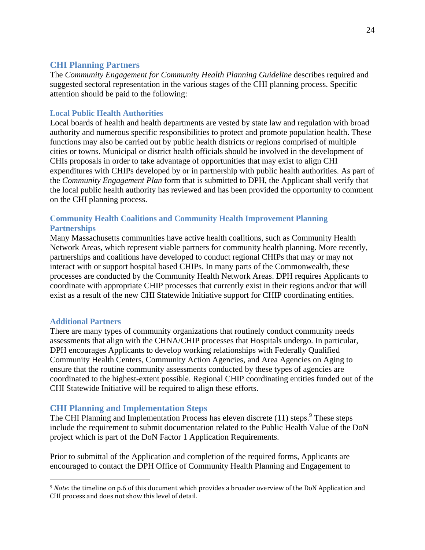#### **CHI Planning Partners**

The *Community Engagement for Community Health Planning Guideline* describes required and suggested sectoral representation in the various stages of the CHI planning process. Specific attention should be paid to the following:

#### **Local Public Health Authorities**

Local boards of health and health departments are vested by state law and regulation with broad authority and numerous specific responsibilities to protect and promote population health. These functions may also be carried out by public health districts or regions comprised of multiple cities or towns. Municipal or district health officials should be involved in the development of CHIs proposals in order to take advantage of opportunities that may exist to align CHI expenditures with CHIPs developed by or in partnership with public health authorities. As part of the *Community Engagement Plan* form that is submitted to DPH, the Applicant shall verify that the local public health authority has reviewed and has been provided the opportunity to comment on the CHI planning process.

#### **Community Health Coalitions and Community Health Improvement Planning Partnerships**

Many Massachusetts communities have active health coalitions, such as Community Health Network Areas, which represent viable partners for community health planning. More recently, partnerships and coalitions have developed to conduct regional CHIPs that may or may not interact with or support hospital based CHIPs. In many parts of the Commonwealth, these processes are conducted by the Community Health Network Areas. DPH requires Applicants to coordinate with appropriate CHIP processes that currently exist in their regions and/or that will exist as a result of the new CHI Statewide Initiative support for CHIP coordinating entities.

#### **Additional Partners**

 $\overline{a}$ 

There are many types of community organizations that routinely conduct community needs assessments that align with the CHNA/CHIP processes that Hospitals undergo. In particular, DPH encourages Applicants to develop working relationships with Federally Qualified Community Health Centers, Community Action Agencies, and Area Agencies on Aging to ensure that the routine community assessments conducted by these types of agencies are coordinated to the highest-extent possible. Regional CHIP coordinating entities funded out of the CHI Statewide Initiative will be required to align these efforts.

## **CHI Planning and Implementation Steps**

The CHI Planning and Implementation Process has eleven discrete  $(11)$  steps.<sup>9</sup> These steps include the requirement to submit documentation related to the Public Health Value of the DoN project which is part of the DoN Factor 1 Application Requirements.

Prior to submittal of the Application and completion of the required forms, Applicants are encouraged to contact the DPH Office of Community Health Planning and Engagement to

<sup>9</sup> *Note:* the timeline on p.6 of this document which provides a broader overview of the DoN Application and CHI process and does not show this level of detail.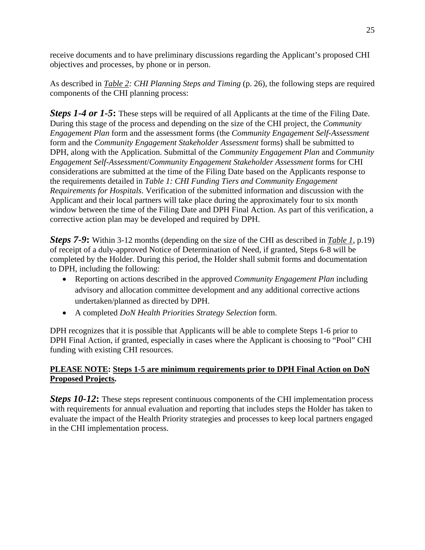receive documents and to have preliminary discussions regarding the Applicant's proposed CHI objectives and processes, by phone or in person.

As described in *Table 2: CHI Planning Steps and Timing* (p. 26), the following steps are required components of the CHI planning process:

*Steps 1-4 or 1-5*: These steps will be required of all Applicants at the time of the Filing Date. During this stage of the process and depending on the size of the CHI project, the *Community Engagement Plan* form and the assessment forms (the *Community Engagement Self-Assessment* form and the *Community Engagement Stakeholder Assessment* forms) shall be submitted to DPH, along with the Application. Submittal of the *Community Engagement Plan* and *Community Engagement Self-Assessment*/*Community Engagement Stakeholder Assessment* forms for CHI considerations are submitted at the time of the Filing Date based on the Applicants response to the requirements detailed in *Table 1: CHI Funding Tiers and Community Engagement Requirements for Hospitals*. Verification of the submitted information and discussion with the Applicant and their local partners will take place during the approximately four to six month window between the time of the Filing Date and DPH Final Action. As part of this verification, a corrective action plan may be developed and required by DPH.

*Steps 7-9***:** Within 3-12 months (depending on the size of the CHI as described in *Table 1*, p.19) of receipt of a duly-approved Notice of Determination of Need, if granted, Steps 6-8 will be completed by the Holder. During this period, the Holder shall submit forms and documentation to DPH, including the following:

- Reporting on actions described in the approved *Community Engagement Plan* including advisory and allocation committee development and any additional corrective actions undertaken/planned as directed by DPH.
- A completed *DoN Health Priorities Strategy Selection* form.

DPH recognizes that it is possible that Applicants will be able to complete Steps 1-6 prior to DPH Final Action, if granted, especially in cases where the Applicant is choosing to "Pool" CHI funding with existing CHI resources.

## **PLEASE NOTE: Steps 1-5 are minimum requirements prior to DPH Final Action on DoN Proposed Projects.**

*Steps 10-12*: These steps represent continuous components of the CHI implementation process with requirements for annual evaluation and reporting that includes steps the Holder has taken to evaluate the impact of the Health Priority strategies and processes to keep local partners engaged in the CHI implementation process.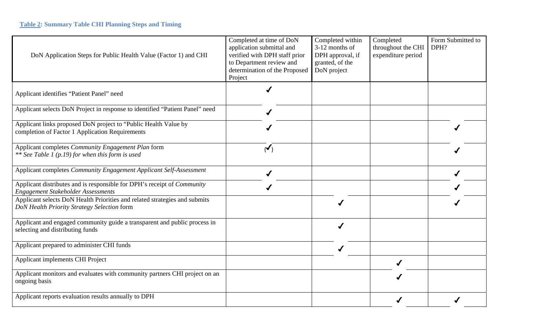| DoN Application Steps for Public Health Value (Factor 1) and CHI                                                          | Completed at time of DoN<br>application submittal and<br>verified with DPH staff prior<br>to Department review and<br>determination of the Proposed<br>Project | Completed within<br>3-12 months of<br>DPH approval, if<br>granted, of the<br>DoN project | Completed<br>throughout the CHI<br>expenditure period | Form Submitted to<br>DPH? |
|---------------------------------------------------------------------------------------------------------------------------|----------------------------------------------------------------------------------------------------------------------------------------------------------------|------------------------------------------------------------------------------------------|-------------------------------------------------------|---------------------------|
| Applicant identifies "Patient Panel" need                                                                                 |                                                                                                                                                                |                                                                                          |                                                       |                           |
| Applicant selects DoN Project in response to identified "Patient Panel" need                                              |                                                                                                                                                                |                                                                                          |                                                       |                           |
| Applicant links proposed DoN project to "Public Health Value by<br>completion of Factor 1 Application Requirements        |                                                                                                                                                                |                                                                                          |                                                       |                           |
| Applicant completes Community Engagement Plan form<br>** See Table 1 (p.19) for when this form is used                    | $\mathbf{v}$                                                                                                                                                   |                                                                                          |                                                       |                           |
| Applicant completes Community Engagement Applicant Self-Assessment                                                        | ✔                                                                                                                                                              |                                                                                          |                                                       |                           |
| Applicant distributes and is responsible for DPH's receipt of Community<br><b>Engagement Stakeholder Assessments</b>      |                                                                                                                                                                |                                                                                          |                                                       |                           |
| Applicant selects DoN Health Priorities and related strategies and submits<br>DoN Health Priority Strategy Selection form |                                                                                                                                                                |                                                                                          |                                                       |                           |
| Applicant and engaged community guide a transparent and public process in<br>selecting and distributing funds             |                                                                                                                                                                |                                                                                          |                                                       |                           |
| Applicant prepared to administer CHI funds                                                                                |                                                                                                                                                                | ✔                                                                                        |                                                       |                           |
| Applicant implements CHI Project                                                                                          |                                                                                                                                                                |                                                                                          |                                                       |                           |
| Applicant monitors and evaluates with community partners CHI project on an<br>ongoing basis                               |                                                                                                                                                                |                                                                                          |                                                       |                           |
| Applicant reports evaluation results annually to DPH                                                                      |                                                                                                                                                                |                                                                                          |                                                       |                           |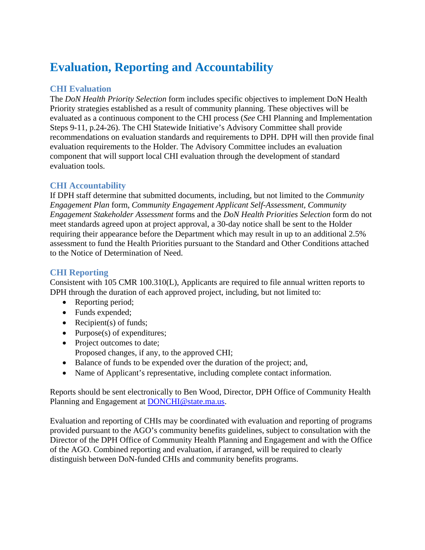# **Evaluation, Reporting and Accountability**

## **CHI Evaluation**

The *DoN Health Priority Selection* form includes specific objectives to implement DoN Health Priority strategies established as a result of community planning. These objectives will be evaluated as a continuous component to the CHI process (*See* CHI Planning and Implementation Steps 9-11, p.24-26). The CHI Statewide Initiative's Advisory Committee shall provide recommendations on evaluation standards and requirements to DPH. DPH will then provide final evaluation requirements to the Holder. The Advisory Committee includes an evaluation component that will support local CHI evaluation through the development of standard evaluation tools.

## **CHI Accountability**

If DPH staff determine that submitted documents, including, but not limited to the *Community Engagement Plan* form*, Community Engagement Applicant Self-Assessment, Community Engagement Stakeholder Assessment* forms and the *DoN Health Priorities Selection* form do not meet standards agreed upon at project approval, a 30-day notice shall be sent to the Holder requiring their appearance before the Department which may result in up to an additional 2.5% assessment to fund the Health Priorities pursuant to the Standard and Other Conditions attached to the Notice of Determination of Need.

## **CHI Reporting**

Consistent with 105 CMR 100.310(L), Applicants are required to file annual written reports to DPH through the duration of each approved project, including, but not limited to:

- Reporting period;
- Funds expended;
- Recipient(s) of funds;
- Purpose $(s)$  of expenditures;
- Project outcomes to date;
- Proposed changes, if any, to the approved CHI;
- Balance of funds to be expended over the duration of the project; and,
- Name of Applicant's representative, including complete contact information.

Reports should be sent electronically to Ben Wood, Director, DPH Office of Community Health Planning and Engagement at DONCHI@state.ma.us.

Evaluation and reporting of CHIs may be coordinated with evaluation and reporting of programs provided pursuant to the AGO's community benefits guidelines, subject to consultation with the Director of the DPH Office of Community Health Planning and Engagement and with the Office of the AGO. Combined reporting and evaluation, if arranged, will be required to clearly distinguish between DoN-funded CHIs and community benefits programs.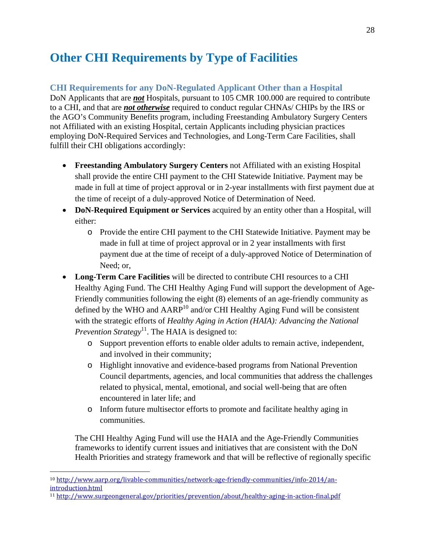# **Other CHI Requirements by Type of Facilities**

### **CHI Requirements for any DoN-Regulated Applicant Other than a Hospital**

DoN Applicants that are *not* Hospitals, pursuant to 105 CMR 100.000 are required to contribute to a CHI, and that are *not otherwise* required to conduct regular CHNAs/ CHIPs by the IRS or the AGO's Community Benefits program, including Freestanding Ambulatory Surgery Centers not Affiliated with an existing Hospital, certain Applicants including physician practices employing DoN-Required Services and Technologies, and Long-Term Care Facilities, shall fulfill their CHI obligations accordingly:

- **Freestanding Ambulatory Surgery Centers** not Affiliated with an existing Hospital shall provide the entire CHI payment to the CHI Statewide Initiative. Payment may be made in full at time of project approval or in 2-year installments with first payment due at the time of receipt of a duly-approved Notice of Determination of Need.
- **DoN-Required Equipment or Services** acquired by an entity other than a Hospital, will either:
	- o Provide the entire CHI payment to the CHI Statewide Initiative. Payment may be made in full at time of project approval or in 2 year installments with first payment due at the time of receipt of a duly-approved Notice of Determination of Need; or,
- **Long-Term Care Facilities** will be directed to contribute CHI resources to a CHI Healthy Aging Fund. The CHI Healthy Aging Fund will support the development of Age-Friendly communities following the eight (8) elements of an age-friendly community as defined by the WHO and  $AARP<sup>10</sup>$  and/or CHI Healthy Aging Fund will be consistent with the strategic efforts of *Healthy Aging in Action (HAIA): Advancing the National Prevention Strategy*<sup>11</sup>. The HAIA is designed to:
	- o Support prevention efforts to enable older adults to remain active, independent, and involved in their community;
	- o Highlight innovative and evidence-based programs from National Prevention Council departments, agencies, and local communities that address the challenges related to physical, mental, emotional, and social well-being that are often encountered in later life; and
	- o Inform future multisector efforts to promote and facilitate healthy aging in communities.

The CHI Healthy Aging Fund will use the HAIA and the Age-Friendly Communities frameworks to identify current issues and initiatives that are consistent with the DoN Health Priorities and strategy framework and that will be reflective of regionally specific

 $\overline{a}$ 

<sup>&</sup>lt;sup>10</sup> http://www.aarp.org/livable-communities/network-age-friendly-communities/info-2014/an-introduction.html

<sup>&</sup>lt;sup>11</sup> http://www.surgeongeneral.gov/priorities/prevention/about/healthy-aging-in-action-final.pdf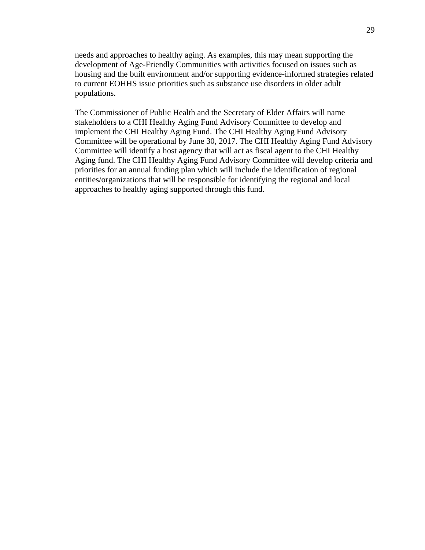needs and approaches to healthy aging. As examples, this may mean supporting the development of Age-Friendly Communities with activities focused on issues such as housing and the built environment and/or supporting evidence-informed strategies related to current EOHHS issue priorities such as substance use disorders in older adult populations.

The Commissioner of Public Health and the Secretary of Elder Affairs will name stakeholders to a CHI Healthy Aging Fund Advisory Committee to develop and implement the CHI Healthy Aging Fund. The CHI Healthy Aging Fund Advisory Committee will be operational by June 30, 2017. The CHI Healthy Aging Fund Advisory Committee will identify a host agency that will act as fiscal agent to the CHI Healthy Aging fund. The CHI Healthy Aging Fund Advisory Committee will develop criteria and priorities for an annual funding plan which will include the identification of regional entities/organizations that will be responsible for identifying the regional and local approaches to healthy aging supported through this fund.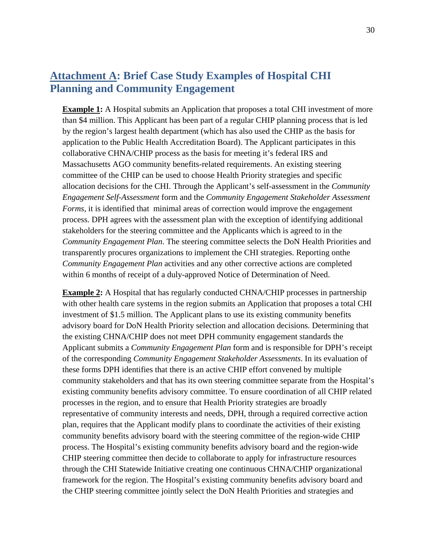# **Attachment A: Brief Case Study Examples of Hospital CHI Planning and Community Engagement**

**Example 1:** A Hospital submits an Application that proposes a total CHI investment of more than \$4 million. This Applicant has been part of a regular CHIP planning process that is led by the region's largest health department (which has also used the CHIP as the basis for application to the Public Health Accreditation Board). The Applicant participates in this collaborative CHNA/CHIP process as the basis for meeting it's federal IRS and Massachusetts AGO community benefits-related requirements. An existing steering committee of the CHIP can be used to choose Health Priority strategies and specific allocation decisions for the CHI. Through the Applicant's self-assessment in the *Community Engagement Self-Assessment* form and the *Community Engagement Stakeholder Assessment Forms*, it is identified that minimal areas of correction would improve the engagement process. DPH agrees with the assessment plan with the exception of identifying additional stakeholders for the steering committee and the Applicants which is agreed to in the *Community Engagement Plan*. The steering committee selects the DoN Health Priorities and transparently procures organizations to implement the CHI strategies. Reporting onthe *Community Engagement Plan* activities and any other corrective actions are completed within 6 months of receipt of a duly-approved Notice of Determination of Need.

**Example 2:** A Hospital that has regularly conducted CHNA/CHIP processes in partnership with other health care systems in the region submits an Application that proposes a total CHI investment of \$1.5 million. The Applicant plans to use its existing community benefits advisory board for DoN Health Priority selection and allocation decisions. Determining that the existing CHNA/CHIP does not meet DPH community engagement standards the Applicant submits a *Community Engagement Plan* form and is responsible for DPH's receipt of the corresponding *Community Engagement Stakeholder Assessments*. In its evaluation of these forms DPH identifies that there is an active CHIP effort convened by multiple community stakeholders and that has its own steering committee separate from the Hospital's existing community benefits advisory committee. To ensure coordination of all CHIP related processes in the region, and to ensure that Health Priority strategies are broadly representative of community interests and needs, DPH, through a required corrective action plan, requires that the Applicant modify plans to coordinate the activities of their existing community benefits advisory board with the steering committee of the region-wide CHIP process. The Hospital's existing community benefits advisory board and the region-wide CHIP steering committee then decide to collaborate to apply for infrastructure resources through the CHI Statewide Initiative creating one continuous CHNA/CHIP organizational framework for the region. The Hospital's existing community benefits advisory board and the CHIP steering committee jointly select the DoN Health Priorities and strategies and